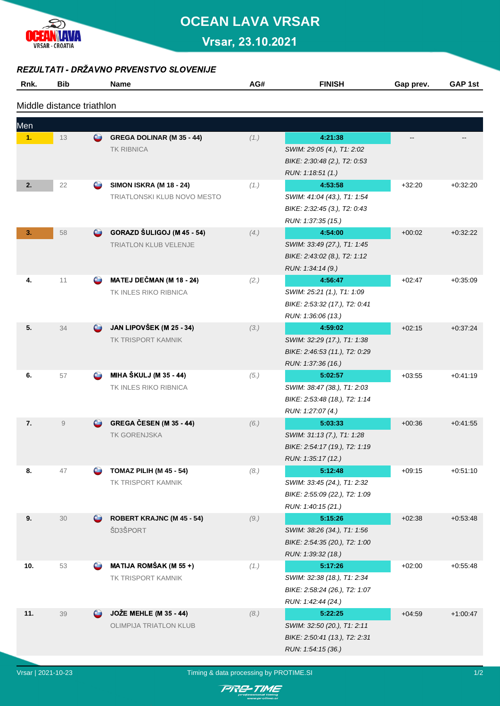

# **OCEAN LAVA VRSAR**

Vrsar, 23.10.2021

#### REZULTATI - DRŽAVNO PRVENSTVO SLOVENIJE

| Rnk.                      | <b>Bib</b>     |                     | <b>Name</b>                      | AG#  | <b>FINISH</b>                 | Gap prev. | GAP 1st    |  |  |  |  |  |
|---------------------------|----------------|---------------------|----------------------------------|------|-------------------------------|-----------|------------|--|--|--|--|--|
| Middle distance triathlon |                |                     |                                  |      |                               |           |            |  |  |  |  |  |
| Men                       |                |                     |                                  |      |                               |           |            |  |  |  |  |  |
| 1.                        | 13             | $\bullet$           | GREGA DOLINAR (M 35 - 44)        | (1.) | 4:21:38                       |           |            |  |  |  |  |  |
|                           |                |                     | <b>TK RIBNICA</b>                |      | SWIM: 29:05 (4.), T1: 2:02    |           |            |  |  |  |  |  |
|                           |                |                     |                                  |      | BIKE: 2:30:48 (2.), T2: 0:53  |           |            |  |  |  |  |  |
|                           |                |                     |                                  |      | RUN: 1:18:51 (1.)             |           |            |  |  |  |  |  |
| 2.                        | 22             | $\circ$             | <b>SIMON ISKRA (M 18 - 24)</b>   | (1.) | 4:53:58                       | $+32:20$  | $+0.32:20$ |  |  |  |  |  |
|                           |                |                     | TRIATLONSKI KLUB NOVO MESTO      |      | SWIM: 41:04 (43.), T1: 1:54   |           |            |  |  |  |  |  |
|                           |                |                     |                                  |      | BIKE: 2:32:45 (3.), T2: 0:43  |           |            |  |  |  |  |  |
|                           |                |                     |                                  |      | RUN: 1:37:35 (15.)            |           |            |  |  |  |  |  |
| 3.                        | 58             | $\bullet$           | GORAZD ŠULIGOJ (M 45 - 54)       | (4.) | 4:54:00                       | $+00:02$  | $+0.32.22$ |  |  |  |  |  |
|                           |                |                     | <b>TRIATLON KLUB VELENJE</b>     |      | SWIM: 33:49 (27.), T1: 1:45   |           |            |  |  |  |  |  |
|                           |                |                     |                                  |      | BIKE: 2:43:02 (8.), T2: 1:12  |           |            |  |  |  |  |  |
|                           |                |                     |                                  |      | RUN: 1:34:14 (9.)             |           |            |  |  |  |  |  |
| 4.                        | 11             | $\circlearrowright$ | MATEJ DEČMAN (M 18 - 24)         | (2.) | 4:56:47                       | $+02:47$  | $+0.35.09$ |  |  |  |  |  |
|                           |                |                     | TK INLES RIKO RIBNICA            |      | SWIM: 25:21 (1.), T1: 1:09    |           |            |  |  |  |  |  |
|                           |                |                     |                                  |      | BIKE: 2:53:32 (17.), T2: 0:41 |           |            |  |  |  |  |  |
|                           |                |                     |                                  |      | RUN: 1:36:06 (13.)            |           |            |  |  |  |  |  |
| 5.                        | 34             | $\circ$             | JAN LIPOVŠEK (M 25 - 34)         | (3.) | 4:59:02                       | $+02:15$  | $+0.37.24$ |  |  |  |  |  |
|                           |                |                     | TK TRISPORT KAMNIK               |      | SWIM: 32:29 (17.), T1: 1:38   |           |            |  |  |  |  |  |
|                           |                |                     |                                  |      | BIKE: 2:46:53 (11.), T2: 0:29 |           |            |  |  |  |  |  |
|                           |                |                     |                                  |      | RUN: 1:37:36 (16.)            |           |            |  |  |  |  |  |
| 6.                        | 57             | $\circ$             | <b>MIHA ŠKULJ (M 35 - 44)</b>    | (5.) | 5:02:57                       | $+03:55$  | $+0.41.19$ |  |  |  |  |  |
|                           |                |                     | TK INLES RIKO RIBNICA            |      | SWIM: 38:47 (38.), T1: 2:03   |           |            |  |  |  |  |  |
|                           |                |                     |                                  |      | BIKE: 2:53:48 (18.), T2: 1:14 |           |            |  |  |  |  |  |
|                           |                |                     |                                  |      | RUN: 1:27:07 (4.)             |           |            |  |  |  |  |  |
| 7.                        | $\overline{9}$ | $\circ$ $\circ$     | <b>GREGA ČESEN (M 35 - 44)</b>   | (6.) | 5:03:33                       | $+00:36$  | $+0.41.55$ |  |  |  |  |  |
|                           |                |                     | TK GORENJSKA                     |      | SWIM: 31:13 (7.), T1: 1:28    |           |            |  |  |  |  |  |
|                           |                |                     |                                  |      | BIKE: 2.54.17 (19.), T2: 1.19 |           |            |  |  |  |  |  |
|                           |                |                     |                                  |      | RUN: 1:35:17 (12.)            |           |            |  |  |  |  |  |
| 8.                        | 47             |                     | <b>TOMAZ PILIH (M 45 - 54)</b>   | (8.) | 5:12:48                       | $+09:15$  | $+0.51:10$ |  |  |  |  |  |
|                           |                |                     | TK TRISPORT KAMNIK               |      | SWIM: 33:45 (24.), T1: 2:32   |           |            |  |  |  |  |  |
|                           |                |                     |                                  |      | BIKE: 2:55:09 (22.), T2: 1:09 |           |            |  |  |  |  |  |
|                           |                |                     |                                  |      | RUN: 1:40:15 (21.)            |           |            |  |  |  |  |  |
| 9.                        | 30             | $\bullet$           | <b>ROBERT KRAJNC (M 45 - 54)</b> | (9.) | 5:15:26                       | $+02:38$  | $+0.53.48$ |  |  |  |  |  |
|                           |                |                     | ŠD3ŠPORT                         |      | SWIM: 38:26 (34.), T1: 1:56   |           |            |  |  |  |  |  |
|                           |                |                     |                                  |      | BIKE: 2:54:35 (20.), T2: 1:00 |           |            |  |  |  |  |  |
| 10.                       |                | $\circlearrowright$ | <b>MATIJA ROMŠAK (M 55 +)</b>    |      | RUN: 1:39:32 (18.)<br>5:17:26 |           |            |  |  |  |  |  |
|                           | 53             |                     | TK TRISPORT KAMNIK               | (1.) | SWIM: 32:38 (18.), T1: 2:34   | $+02:00$  | $+0.55:48$ |  |  |  |  |  |
|                           |                |                     |                                  |      | BIKE: 2:58:24 (26.), T2: 1:07 |           |            |  |  |  |  |  |
|                           |                |                     |                                  |      | RUN: 1:42:44 (24.)            |           |            |  |  |  |  |  |
| 11.                       | 39             | $\bullet$           | <b>JOŽE MEHLE (M 35 - 44)</b>    | (8.) | 5:22:25                       | $+04:59$  | $+1:00:47$ |  |  |  |  |  |
|                           |                |                     | OLIMPIJA TRIATLON KLUB           |      | SWIM: 32:50 (20.), T1: 2:11   |           |            |  |  |  |  |  |
|                           |                |                     |                                  |      | BIKE: 2:50:41 (13.), T2: 2:31 |           |            |  |  |  |  |  |
|                           |                |                     |                                  |      | RUN: 1:54:15 (36.)            |           |            |  |  |  |  |  |
|                           |                |                     |                                  |      |                               |           |            |  |  |  |  |  |